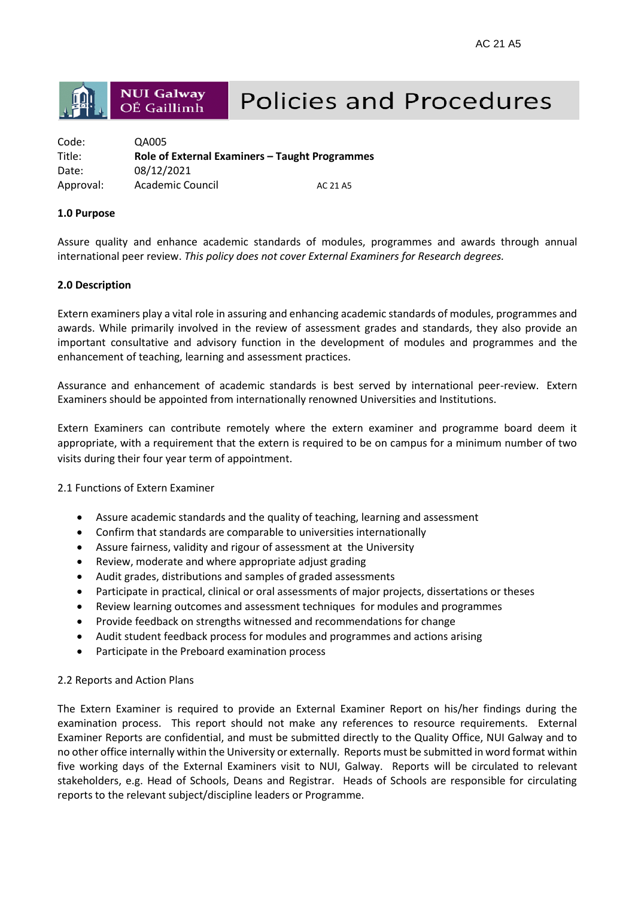

# **Policies and Procedures**

| Code:     | QA005                                          |          |
|-----------|------------------------------------------------|----------|
| Title:    | Role of External Examiners - Taught Programmes |          |
| Date:     | 08/12/2021                                     |          |
| Approval: | Academic Council                               | AC 21 A5 |

## **1.0 Purpose**

Assure quality and enhance academic standards of modules, programmes and awards through annual international peer review. *This policy does not cover External Examiners for Research degrees.*

# **2.0 Description**

Extern examiners play a vital role in assuring and enhancing academic standards of modules, programmes and awards. While primarily involved in the review of assessment grades and standards, they also provide an important consultative and advisory function in the development of modules and programmes and the enhancement of teaching, learning and assessment practices.

Assurance and enhancement of academic standards is best served by international peer-review. Extern Examiners should be appointed from internationally renowned Universities and Institutions.

Extern Examiners can contribute remotely where the extern examiner and programme board deem it appropriate, with a requirement that the extern is required to be on campus for a minimum number of two visits during their four year term of appointment.

2.1 Functions of Extern Examiner

- Assure academic standards and the quality of teaching, learning and assessment
- Confirm that standards are comparable to universities internationally
- Assure fairness, validity and rigour of assessment at the University
- Review, moderate and where appropriate adjust grading
- Audit grades, distributions and samples of graded assessments
- Participate in practical, clinical or oral assessments of major projects, dissertations or theses
- Review learning outcomes and assessment techniques for modules and programmes
- Provide feedback on strengths witnessed and recommendations for change
- Audit student feedback process for modules and programmes and actions arising
- Participate in the Preboard examination process

## 2.2 Reports and Action Plans

The Extern Examiner is required to provide an External Examiner Report on his/her findings during the examination process. This report should not make any references to resource requirements. External Examiner Reports are confidential, and must be submitted directly to the Quality Office, NUI Galway and to no other office internally within the University or externally. Reports must be submitted in word format within five working days of the External Examiners visit to NUI, Galway. Reports will be circulated to relevant stakeholders, e.g. Head of Schools, Deans and Registrar. Heads of Schools are responsible for circulating reports to the relevant subject/discipline leaders or Programme.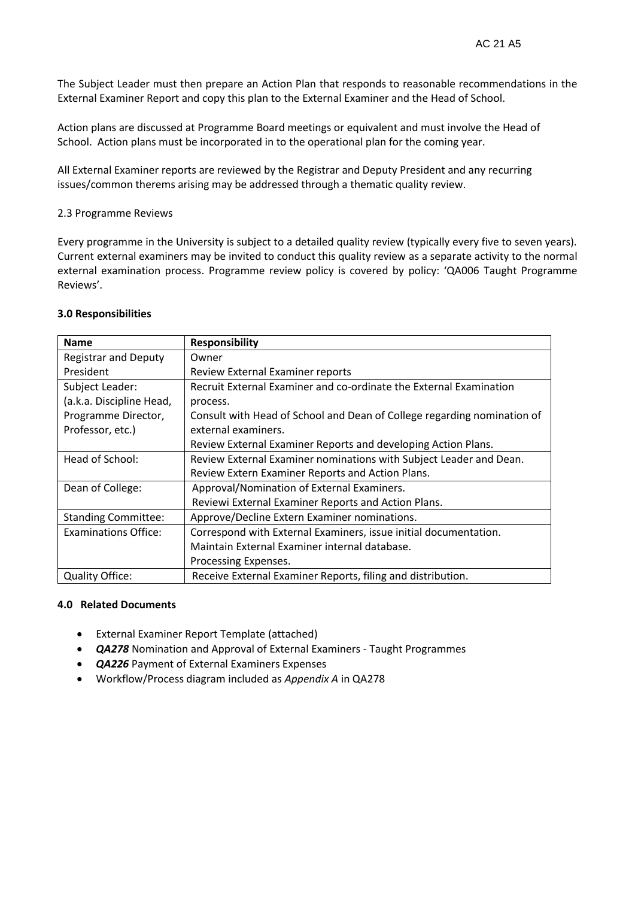The Subject Leader must then prepare an Action Plan that responds to reasonable recommendations in the External Examiner Report and copy this plan to the External Examiner and the Head of School.

Action plans are discussed at Programme Board meetings or equivalent and must involve the Head of School. Action plans must be incorporated in to the operational plan for the coming year.

All External Examiner reports are reviewed by the Registrar and Deputy President and any recurring issues/common therems arising may be addressed through a thematic quality review.

### 2.3 Programme Reviews

Every programme in the University is subject to a detailed quality review (typically every five to seven years). Current external examiners may be invited to conduct this quality review as a separate activity to the normal external examination process. Programme review policy is covered by policy: 'QA006 Taught Programme Reviews'.

#### **3.0 Responsibilities**

| <b>Name</b>                 | <b>Responsibility</b>                                                   |
|-----------------------------|-------------------------------------------------------------------------|
| <b>Registrar and Deputy</b> | Owner                                                                   |
| President                   | Review External Examiner reports                                        |
| Subject Leader:             | Recruit External Examiner and co-ordinate the External Examination      |
| (a.k.a. Discipline Head,    | process.                                                                |
| Programme Director,         | Consult with Head of School and Dean of College regarding nomination of |
| Professor, etc.)            | external examiners.                                                     |
|                             | Review External Examiner Reports and developing Action Plans.           |
| Head of School:             | Review External Examiner nominations with Subject Leader and Dean.      |
|                             | Review Extern Examiner Reports and Action Plans.                        |
| Dean of College:            | Approval/Nomination of External Examiners.                              |
|                             | Reviewi External Examiner Reports and Action Plans.                     |
| <b>Standing Committee:</b>  | Approve/Decline Extern Examiner nominations.                            |
| <b>Examinations Office:</b> | Correspond with External Examiners, issue initial documentation.        |
|                             | Maintain External Examiner internal database.                           |
|                             | Processing Expenses.                                                    |
| <b>Quality Office:</b>      | Receive External Examiner Reports, filing and distribution.             |

#### **4.0 Related Documents**

- External Examiner Report Template (attached)
- *QA278* Nomination and Approval of External Examiners Taught Programmes
- *QA226* Payment of External Examiners Expenses
- Workflow/Process diagram included as *Appendix A* in QA278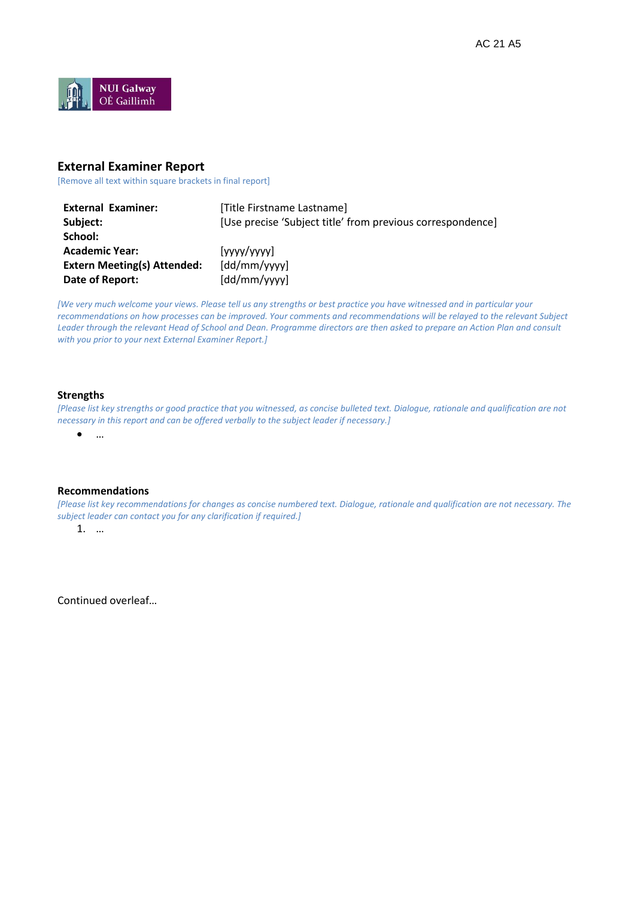

## **External Examiner Report**

[Remove all text within square brackets in final report]

| <b>External Examiner:</b>          | [Title Firstname Lastname]                                 |
|------------------------------------|------------------------------------------------------------|
| Subject:                           | [Use precise 'Subject title' from previous correspondence] |
| School:                            |                                                            |
| <b>Academic Year:</b>              | [yyyy/yyyy]                                                |
| <b>Extern Meeting(s) Attended:</b> | [dd/mm/yyy]                                                |
| Date of Report:                    | [dd/mm/yyy]                                                |

*[We very much welcome your views. Please tell us any strengths or best practice you have witnessed and in particular your recommendations on how processes can be improved. Your comments and recommendations will be relayed to the relevant Subject Leader through the relevant Head of School and Dean. Programme directors are then asked to prepare an Action Plan and consult with you prior to your next External Examiner Report.]*

#### **Strengths**

*[Please list key strengths or good practice that you witnessed, as concise bulleted text. Dialogue, rationale and qualification are not necessary in this report and can be offered verbally to the subject leader if necessary.]* 

…

#### **Recommendations**

*[Please list key recommendations for changes as concise numbered text. Dialogue, rationale and qualification are not necessary. The subject leader can contact you for any clarification if required.]*

1. …

Continued overleaf…